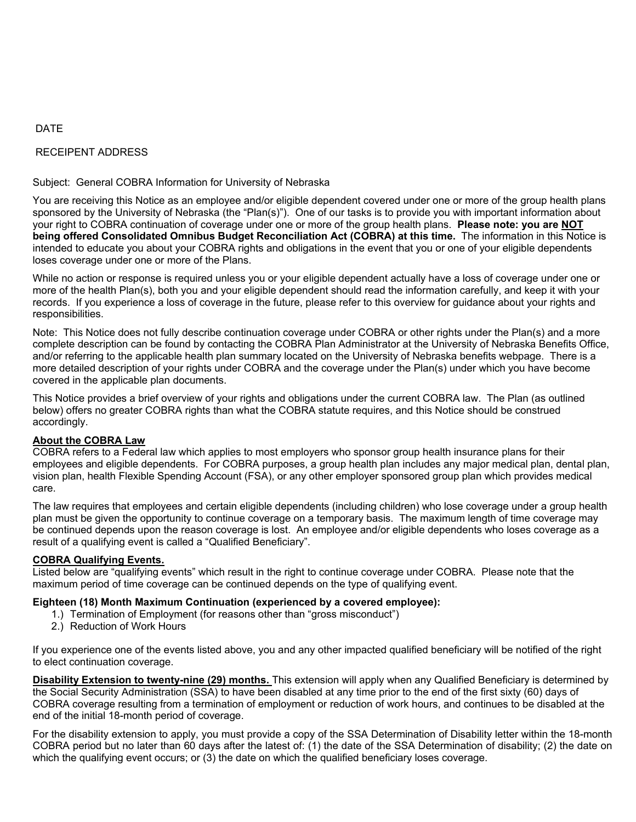### DATE

## RECEIPENT ADDRESS

### Subject: General COBRA Information for University of Nebraska

You are receiving this Notice as an employee and/or eligible dependent covered under one or more of the group health plans sponsored by the University of Nebraska (the "Plan(s)"). One of our tasks is to provide you with important information about your right to COBRA continuation of coverage under one or more of the group health plans. **Please note: you are NOT being offered Consolidated Omnibus Budget Reconciliation Act (COBRA) at this time.** The information in this Notice is intended to educate you about your COBRA rights and obligations in the event that you or one of your eligible dependents loses coverage under one or more of the Plans.

While no action or response is required unless you or your eligible dependent actually have a loss of coverage under one or more of the health Plan(s), both you and your eligible dependent should read the information carefully, and keep it with your records. If you experience a loss of coverage in the future, please refer to this overview for guidance about your rights and responsibilities.

Note: This Notice does not fully describe continuation coverage under COBRA or other rights under the Plan(s) and a more complete description can be found by contacting the COBRA Plan Administrator at the University of Nebraska Benefits Office, and/or referring to the applicable health plan summary located on the University of Nebraska benefits webpage. There is a more detailed description of your rights under COBRA and the coverage under the Plan(s) under which you have become covered in the applicable plan documents.

This Notice provides a brief overview of your rights and obligations under the current COBRA law. The Plan (as outlined below) offers no greater COBRA rights than what the COBRA statute requires, and this Notice should be construed accordingly.

### **About the COBRA Law**

COBRA refers to a Federal law which applies to most employers who sponsor group health insurance plans for their employees and eligible dependents. For COBRA purposes, a group health plan includes any major medical plan, dental plan, vision plan, health Flexible Spending Account (FSA), or any other employer sponsored group plan which provides medical care.

The law requires that employees and certain eligible dependents (including children) who lose coverage under a group health plan must be given the opportunity to continue coverage on a temporary basis. The maximum length of time coverage may be continued depends upon the reason coverage is lost. An employee and/or eligible dependents who loses coverage as a result of a qualifying event is called a "Qualified Beneficiary".

### **COBRA Qualifying Events.**

Listed below are "qualifying events" which result in the right to continue coverage under COBRA. Please note that the maximum period of time coverage can be continued depends on the type of qualifying event.

### **Eighteen (18) Month Maximum Continuation (experienced by a covered employee):**

- 1.) Termination of Employment (for reasons other than "gross misconduct")
- 2.) Reduction of Work Hours

If you experience one of the events listed above, you and any other impacted qualified beneficiary will be notified of the right to elect continuation coverage.

**Disability Extension to twenty-nine (29) months.** This extension will apply when any Qualified Beneficiary is determined by the Social Security Administration (SSA) to have been disabled at any time prior to the end of the first sixty (60) days of COBRA coverage resulting from a termination of employment or reduction of work hours, and continues to be disabled at the end of the initial 18-month period of coverage.

For the disability extension to apply, you must provide a copy of the SSA Determination of Disability letter within the 18-month COBRA period but no later than 60 days after the latest of: (1) the date of the SSA Determination of disability; (2) the date on which the qualifying event occurs; or (3) the date on which the qualified beneficiary loses coverage.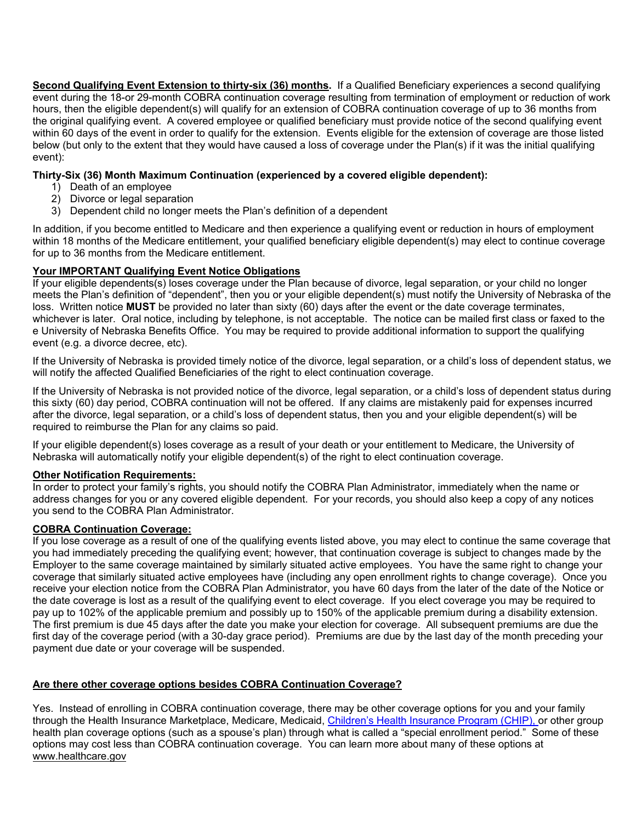**Second Qualifying Event Extension to thirty-six (36) months.** If a Qualified Beneficiary experiences a second qualifying event during the 18-or 29-month COBRA continuation coverage resulting from termination of employment or reduction of work hours, then the eligible dependent(s) will qualify for an extension of COBRA continuation coverage of up to 36 months from the original qualifying event. A covered employee or qualified beneficiary must provide notice of the second qualifying event within 60 days of the event in order to qualify for the extension. Events eligible for the extension of coverage are those listed below (but only to the extent that they would have caused a loss of coverage under the Plan(s) if it was the initial qualifying event):

### **Thirty-Six (36) Month Maximum Continuation (experienced by a covered eligible dependent):**

- 1) Death of an employee
- 2) Divorce or legal separation
- 3) Dependent child no longer meets the Plan's definition of a dependent

In addition, if you become entitled to Medicare and then experience a qualifying event or reduction in hours of employment within 18 months of the Medicare entitlement, your qualified beneficiary eligible dependent(s) may elect to continue coverage for up to 36 months from the Medicare entitlement.

# **Your IMPORTANT Qualifying Event Notice Obligations**

If your eligible dependents(s) loses coverage under the Plan because of divorce, legal separation, or your child no longer meets the Plan's definition of "dependent", then you or your eligible dependent(s) must notify the University of Nebraska of the loss. Written notice **MUST** be provided no later than sixty (60) days after the event or the date coverage terminates, whichever is later. Oral notice, including by telephone, is not acceptable. The notice can be mailed first class or faxed to the e University of Nebraska Benefits Office. You may be required to provide additional information to support the qualifying event (e.g. a divorce decree, etc).

If the University of Nebraska is provided timely notice of the divorce, legal separation, or a child's loss of dependent status, we will notify the affected Qualified Beneficiaries of the right to elect continuation coverage.

If the University of Nebraska is not provided notice of the divorce, legal separation, or a child's loss of dependent status during this sixty (60) day period, COBRA continuation will not be offered. If any claims are mistakenly paid for expenses incurred after the divorce, legal separation, or a child's loss of dependent status, then you and your eligible dependent(s) will be required to reimburse the Plan for any claims so paid.

If your eligible dependent(s) loses coverage as a result of your death or your entitlement to Medicare, the University of Nebraska will automatically notify your eligible dependent(s) of the right to elect continuation coverage.

### **Other Notification Requirements:**

In order to protect your family's rights, you should notify the COBRA Plan Administrator, immediately when the name or address changes for you or any covered eligible dependent. For your records, you should also keep a copy of any notices you send to the COBRA Plan Administrator.

### **COBRA Continuation Coverage:**

If you lose coverage as a result of one of the qualifying events listed above, you may elect to continue the same coverage that you had immediately preceding the qualifying event; however, that continuation coverage is subject to changes made by the Employer to the same coverage maintained by similarly situated active employees. You have the same right to change your coverage that similarly situated active employees have (including any open enrollment rights to change coverage). Once you receive your election notice from the COBRA Plan Administrator, you have 60 days from the later of the date of the Notice or the date coverage is lost as a result of the qualifying event to elect coverage. If you elect coverage you may be required to pay up to 102% of the applicable premium and possibly up to 150% of the applicable premium during a disability extension. The first premium is due 45 days after the date you make your election for coverage. All subsequent premiums are due the first day of the coverage period (with a 30-day grace period). Premiums are due by the last day of the month preceding your payment due date or your coverage will be suspended.

# **Are there other coverage options besides COBRA Continuation Coverage?**

Yes. Instead of enrolling in COBRA continuation coverage, there may be other coverage options for you and your family through the Health Insurance Marketplace, Medicare, Medicaid, Children's Health Insurance Program (CHIP), or other group health plan coverage options (such as a spouse's plan) through what is called a "special enrollment period." Some of these options may cost less than COBRA continuation coverage. You can learn more about many of these options at www.healthcare.gov